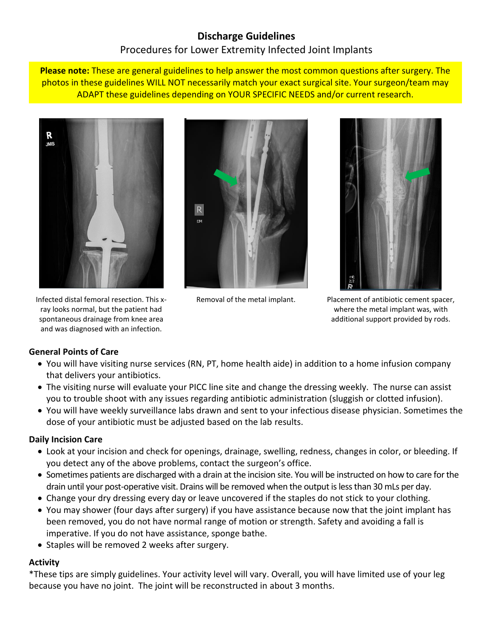# **Discharge Guidelines** Procedures for Lower Extremity Infected Joint Implants

**Please note:** These are general guidelines to help answer the most common questions after surgery. The photos in these guidelines WILL NOT necessarily match your exact surgical site. Your surgeon/team may ADAPT these guidelines depending on YOUR SPECIFIC NEEDS and/or current research.



Infected distal femoral resection. This xray looks normal, but the patient had spontaneous drainage from knee area and was diagnosed with an infection.





Removal of the metal implant. Placement of antibiotic cement spacer, where the metal implant was, with additional support provided by rods.

# **General Points of Care**

- You will have visiting nurse services (RN, PT, home health aide) in addition to a home infusion company that delivers your antibiotics.
- The visiting nurse will evaluate your PICC line site and change the dressing weekly. The nurse can assist you to trouble shoot with any issues regarding antibiotic administration (sluggish or clotted infusion).
- You will have weekly surveillance labs drawn and sent to your infectious disease physician. Sometimes the dose of your antibiotic must be adjusted based on the lab results.

#### **Daily Incision Care**

- Look at your incision and check for openings, drainage, swelling, redness, changes in color, or bleeding. If you detect any of the above problems, contact the surgeon's office.
- Sometimes patients are discharged with a drain at the incision site. You will be instructed on how to care for the drain until your post-operative visit. Drains will be removed when the output is less than 30 mLs per day.
- Change your dry dressing every day or leave uncovered if the staples do not stick to your clothing.
- You may shower (four days after surgery) if you have assistance because now that the joint implant has been removed, you do not have normal range of motion or strength. Safety and avoiding a fall is imperative. If you do not have assistance, sponge bathe.
- Staples will be removed 2 weeks after surgery.

# **Activity**

\*These tips are simply guidelines. Your activity level will vary. Overall, you will have limited use of your leg because you have no joint. The joint will be reconstructed in about 3 months.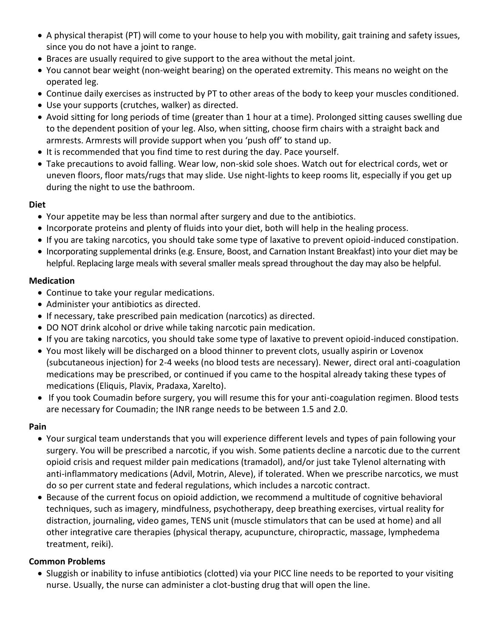- A physical therapist (PT) will come to your house to help you with mobility, gait training and safety issues, since you do not have a joint to range.
- Braces are usually required to give support to the area without the metal joint.
- You cannot bear weight (non-weight bearing) on the operated extremity. This means no weight on the operated leg.
- Continue daily exercises as instructed by PT to other areas of the body to keep your muscles conditioned.
- Use your supports (crutches, walker) as directed.
- Avoid sitting for long periods of time (greater than 1 hour at a time). Prolonged sitting causes swelling due to the dependent position of your leg. Also, when sitting, choose firm chairs with a straight back and armrests. Armrests will provide support when you 'push off' to stand up.
- It is recommended that you find time to rest during the day. Pace yourself.
- Take precautions to avoid falling. Wear low, non-skid sole shoes. Watch out for electrical cords, wet or uneven floors, floor mats/rugs that may slide. Use night-lights to keep rooms lit, especially if you get up during the night to use the bathroom.

#### **Diet**

- Your appetite may be less than normal after surgery and due to the antibiotics.
- Incorporate proteins and plenty of fluids into your diet, both will help in the healing process.
- If you are taking narcotics, you should take some type of laxative to prevent opioid-induced constipation.
- Incorporating supplemental drinks (e.g. Ensure, Boost, and Carnation Instant Breakfast) into your diet may be helpful. Replacing large meals with several smaller meals spread throughout the day may also be helpful.

### **Medication**

- Continue to take your regular medications.
- Administer your antibiotics as directed.
- If necessary, take prescribed pain medication (narcotics) as directed.
- DO NOT drink alcohol or drive while taking narcotic pain medication.
- If you are taking narcotics, you should take some type of laxative to prevent opioid-induced constipation.
- You most likely will be discharged on a blood thinner to prevent clots, usually aspirin or Lovenox (subcutaneous injection) for 2-4 weeks (no blood tests are necessary). Newer, direct oral anti-coagulation medications may be prescribed, or continued if you came to the hospital already taking these types of medications (Eliquis, Plavix, Pradaxa, Xarelto).
- If you took Coumadin before surgery, you will resume this for your anti-coagulation regimen. Blood tests are necessary for Coumadin; the INR range needs to be between 1.5 and 2.0.

# **Pain**

- Your surgical team understands that you will experience different levels and types of pain following your surgery. You will be prescribed a narcotic, if you wish. Some patients decline a narcotic due to the current opioid crisis and request milder pain medications (tramadol), and/or just take Tylenol alternating with anti-inflammatory medications (Advil, Motrin, Aleve), if tolerated. When we prescribe narcotics, we must do so per current state and federal regulations, which includes a narcotic contract.
- Because of the current focus on opioid addiction, we recommend a multitude of cognitive behavioral techniques, such as imagery, mindfulness, psychotherapy, deep breathing exercises, virtual reality for distraction, journaling, video games, TENS unit (muscle stimulators that can be used at home) and all other integrative care therapies (physical therapy, acupuncture, chiropractic, massage, lymphedema treatment, reiki).

# **Common Problems**

 Sluggish or inability to infuse antibiotics (clotted) via your PICC line needs to be reported to your visiting nurse. Usually, the nurse can administer a clot-busting drug that will open the line.